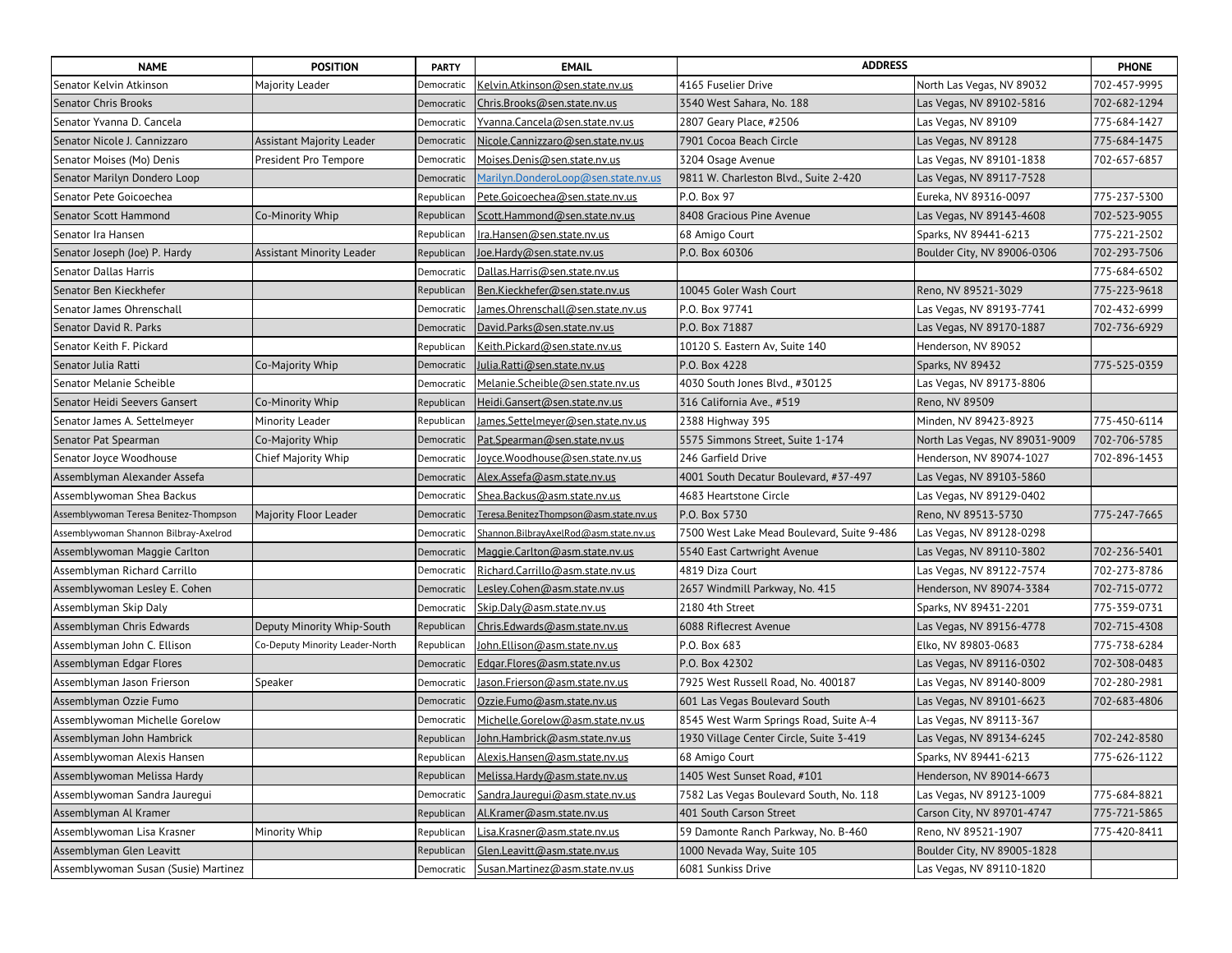| <b>NAME</b>                           | <b>POSITION</b>                 | <b>PARTY</b> | <b>EMAIL</b>                           | <b>ADDRESS</b>                             |                                | <b>PHONE</b> |
|---------------------------------------|---------------------------------|--------------|----------------------------------------|--------------------------------------------|--------------------------------|--------------|
| Senator Kelvin Atkinson               | Majority Leader                 | Democratic   | Kelvin.Atkinson@sen.state.nv.us        | 4165 Fuselier Drive                        | North Las Vegas, NV 89032      | 702-457-9995 |
| Senator Chris Brooks                  |                                 | Democratic   | Chris.Brooks@sen.state.nv.us           | 3540 West Sahara, No. 188                  | Las Vegas, NV 89102-5816       | 702-682-1294 |
| Senator Yvanna D. Cancela             |                                 | Democratic   | Yvanna.Cancela@sen.state.nv.us         | 2807 Geary Place, #2506                    | Las Vegas, NV 89109            | 775-684-1427 |
| Senator Nicole J. Cannizzaro          | Assistant Majority Leader       | Democratic   | Nicole.Cannizzaro@sen.state.nv.us      | 7901 Cocoa Beach Circle                    | Las Vegas, NV 89128            | 775-684-1475 |
| Senator Moises (Mo) Denis             | President Pro Tempore           | Democratic   | Moises.Denis@sen.state.nv.us           | 3204 Osage Avenue                          | Las Vegas, NV 89101-1838       | 702-657-6857 |
| Senator Marilyn Dondero Loop          |                                 | Democratic   | Marilyn.DonderoLoop@sen.state.nv.us    | 9811 W. Charleston Blvd., Suite 2-420      | Las Vegas, NV 89117-7528       |              |
| Senator Pete Goicoechea               |                                 | Republican   | Pete.Goicoechea@sen.state.nv.us        | P.O. Box 97                                | Eureka, NV 89316-0097          | 775-237-5300 |
| Senator Scott Hammond                 | Co-Minority Whip                | Republican   | Scott.Hammond@sen.state.nv.us          | 8408 Gracious Pine Avenue                  | Las Vegas, NV 89143-4608       | 702-523-9055 |
| Senator Ira Hansen                    |                                 | Republican   | lra.Hansen@sen.state.nv.us             | 68 Amigo Court                             | Sparks, NV 89441-6213          | 775-221-2502 |
| Senator Joseph (Joe) P. Hardy         | Assistant Minority Leader       | Republican   | oe.Hardy@sen.state.nv.us               | P.O. Box 60306                             | Boulder City, NV 89006-0306    | 702-293-7506 |
| <b>Senator Dallas Harris</b>          |                                 | Democratic   | Dallas.Harris@sen.state.nv.us          |                                            |                                | 775-684-6502 |
| Senator Ben Kieckhefer                |                                 | Republican   | Ben.Kieckhefer@sen.state.nv.us         | 10045 Goler Wash Court                     | Reno, NV 89521-3029            | 775-223-9618 |
| Senator James Ohrenschall             |                                 | Democratic   | lames.Ohrenschall@sen.state.nv.us      | P.O. Box 97741                             | Las Vegas, NV 89193-7741       | 702-432-6999 |
| Senator David R. Parks                |                                 | Democratic   | David.Parks@sen.state.nv.us            | P.O. Box 71887                             | Las Vegas, NV 89170-1887       | 702-736-6929 |
| Senator Keith F. Pickard              |                                 | Republican   | Keith.Pickard@sen.state.nv.us          | 10120 S. Eastern Av, Suite 140             | Henderson, NV 89052            |              |
| Senator Julia Ratti                   | Co-Majority Whip                | Democratic   | lulia.Ratti@sen.state.nv.us            | P.O. Box 4228                              | Sparks, NV 89432               | 775-525-0359 |
| Senator Melanie Scheible              |                                 | Democratic   | Melanie.Scheible@sen.state.nv.us       | 4030 South Jones Blvd., #30125             | Las Vegas, NV 89173-8806       |              |
| Senator Heidi Seevers Gansert         | Co-Minority Whip                | Republican   | Heidi.Gansert@sen.state.nv.us          | 316 California Ave., #519                  | Reno, NV 89509                 |              |
| Senator James A. Settelmeyer          | Minority Leader                 | Republican   | lames.Settelmeyer@sen.state.nv.us      | 2388 Highway 395                           | Minden, NV 89423-8923          | 775-450-6114 |
| Senator Pat Spearman                  | Co-Majority Whip                | Democratic   | Pat.Spearman@sen.state.nv.us           | 5575 Simmons Street, Suite 1-174           | North Las Vegas, NV 89031-9009 | 702-706-5785 |
| Senator Joyce Woodhouse               | Chief Majority Whip             | Democratic   | loyce.Woodhouse@sen.state.nv.us        | 246 Garfield Drive                         | Henderson, NV 89074-1027       | 702-896-1453 |
| Assemblyman Alexander Assefa          |                                 | Democratic   | Alex.Assefa@asm.state.nv.us            | 4001 South Decatur Boulevard, #37-497      | Las Vegas, NV 89103-5860       |              |
| Assemblywoman Shea Backus             |                                 | Democratic   | Shea.Backus@asm.state.nv.us            | 4683 Heartstone Circle                     | Las Vegas, NV 89129-0402       |              |
| Assemblywoman Teresa Benitez-Thompson | Majority Floor Leader           | Democratic   | Teresa.BenitezThompson@asm.state.nv.us | P.O. Box 5730                              | Reno, NV 89513-5730            | 775-247-7665 |
| Assemblywoman Shannon Bilbray-Axelrod |                                 | Democratic   | Shannon.BilbrayAxelRod@asm.state.nv.us | 7500 West Lake Mead Boulevard, Suite 9-486 | Las Vegas, NV 89128-0298       |              |
| Assemblywoman Maggie Carlton          |                                 | Democratic   | Maggie.Carlton@asm.state.nv.us         | 5540 East Cartwright Avenue                | Las Vegas, NV 89110-3802       | 702-236-5401 |
| Assemblyman Richard Carrillo          |                                 | Democratic   | Richard.Carrillo@asm.state.nv.us       | 4819 Diza Court                            | Las Vegas, NV 89122-7574       | 702-273-8786 |
| Assemblywoman Lesley E. Cohen         |                                 | Democratic   | esley.Cohen@asm.state.nv.us            | 2657 Windmill Parkway, No. 415             | Henderson, NV 89074-3384       | 702-715-0772 |
| Assemblyman Skip Daly                 |                                 | Democratic   | Skip.Daly@asm.state.nv.us              | 2180 4th Street                            | Sparks, NV 89431-2201          | 775-359-0731 |
| Assemblyman Chris Edwards             | Deputy Minority Whip-South      | Republican   | Chris.Edwards@asm.state.nv.us          | 6088 Riflecrest Avenue                     | Las Vegas, NV 89156-4778       | 702-715-4308 |
| Assemblyman John C. Ellison           | Co-Deputy Minority Leader-North | Republican   | lohn.Ellison@asm.state.nv.us           | P.O. Box 683                               | Elko, NV 89803-0683            | 775-738-6284 |
| Assemblyman Edgar Flores              |                                 | Democratic   | Edgar.Flores@asm.state.nv.us           | P.O. Box 42302                             | Las Vegas, NV 89116-0302       | 702-308-0483 |
| Assemblyman Jason Frierson            | Speaker                         | Democratic   | Jason.Frierson@asm.state.nv.us         | 7925 West Russell Road, No. 400187         | Las Vegas, NV 89140-8009       | 702-280-2981 |
| Assemblyman Ozzie Fumo                |                                 | Democratic   | Ozzie.Fumo@asm.state.nv.us             | 601 Las Vegas Boulevard South              | Las Vegas, NV 89101-6623       | 702-683-4806 |
| Assemblywoman Michelle Gorelow        |                                 | Democratic   | Michelle.Gorelow@asm.state.nv.us       | 8545 West Warm Springs Road, Suite A-4     | Las Vegas, NV 89113-367        |              |
| Assemblyman John Hambrick             |                                 | Republican   | lohn.Hambrick@asm.state.nv.us          | 1930 Village Center Circle, Suite 3-419    | Las Vegas, NV 89134-6245       | 702-242-8580 |
| Assemblywoman Alexis Hansen           |                                 | Republican   | Alexis.Hansen@asm.state.nv.us          | 68 Amigo Court                             | Sparks, NV 89441-6213          | 775-626-1122 |
| Assemblywoman Melissa Hardy           |                                 | Republican   | Melissa.Hardy@asm.state.nv.us          | 1405 West Sunset Road, #101                | Henderson, NV 89014-6673       |              |
| Assemblywoman Sandra Jauregui         |                                 | Democratic   | Sandra.Jauregui@asm.state.nv.us        | 7582 Las Vegas Boulevard South, No. 118    | Las Vegas, NV 89123-1009       | 775-684-8821 |
| Assemblyman Al Kramer                 |                                 | Republican   | Al.Kramer@asm.state.nv.us              | 401 South Carson Street                    | Carson City, NV 89701-4747     | 775-721-5865 |
| Assemblywoman Lisa Krasner            | Minority Whip                   | Republican   | Lisa.Krasner@asm.state.nv.us           | 59 Damonte Ranch Parkway, No. B-460        | Reno, NV 89521-1907            | 775-420-8411 |
| Assemblyman Glen Leavitt              |                                 | Republican   | Glen.Leavitt@asm.state.nv.us           | 1000 Nevada Way, Suite 105                 | Boulder City, NV 89005-1828    |              |
| Assemblywoman Susan (Susie) Martinez  |                                 | Democratic   | Susan.Martinez@asm.state.nv.us         | 6081 Sunkiss Drive                         | Las Vegas, NV 89110-1820       |              |